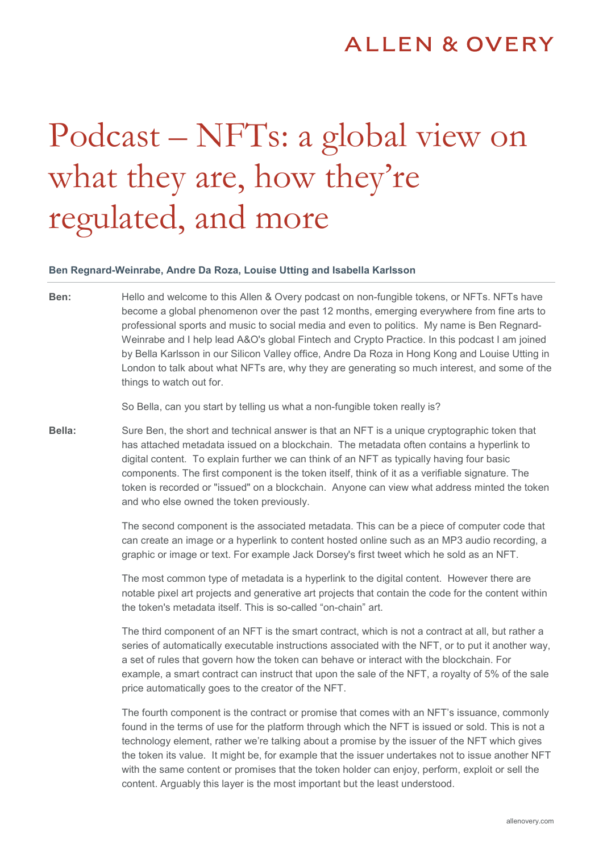## Podcast – NFTs: a global view on what they are, how they're regulated, and more

## **Ben Regnard-Weinrabe, Andre Da Roza, Louise Utting and Isabella Karlsson**

**Ben:** Hello and welcome to this Allen & Overy podcast on non-fungible tokens, or NFTs. NFTs have become a global phenomenon over the past 12 months, emerging everywhere from fine arts to professional sports and music to social media and even to politics. My name is Ben Regnard-Weinrabe and I help lead A&O's global Fintech and Crypto Practice. In this podcast I am joined by Bella Karlsson in our Silicon Valley office, Andre Da Roza in Hong Kong and Louise Utting in London to talk about what NFTs are, why they are generating so much interest, and some of the things to watch out for.

So Bella, can you start by telling us what a non-fungible token really is?

**Bella:** Sure Ben, the short and technical answer is that an NFT is a unique cryptographic token that has attached metadata issued on a blockchain. The metadata often contains a hyperlink to digital content. To explain further we can think of an NFT as typically having four basic components. The first component is the token itself, think of it as a verifiable signature. The token is recorded or "issued" on a blockchain. Anyone can view what address minted the token and who else owned the token previously.

> The second component is the associated metadata. This can be a piece of computer code that can create an image or a hyperlink to content hosted online such as an MP3 audio recording, a graphic or image or text. For example Jack Dorsey's first tweet which he sold as an NFT.

> The most common type of metadata is a hyperlink to the digital content. However there are notable pixel art projects and generative art projects that contain the code for the content within the token's metadata itself. This is so-called "on-chain" art.

> The third component of an NFT is the smart contract, which is not a contract at all, but rather a series of automatically executable instructions associated with the NFT, or to put it another way, a set of rules that govern how the token can behave or interact with the blockchain. For example, a smart contract can instruct that upon the sale of the NFT, a royalty of 5% of the sale price automatically goes to the creator of the NFT.

> The fourth component is the contract or promise that comes with an NFT's issuance, commonly found in the terms of use for the platform through which the NFT is issued or sold. This is not a technology element, rather we're talking about a promise by the issuer of the NFT which gives the token its value. It might be, for example that the issuer undertakes not to issue another NFT with the same content or promises that the token holder can enjoy, perform, exploit or sell the content. Arguably this layer is the most important but the least understood.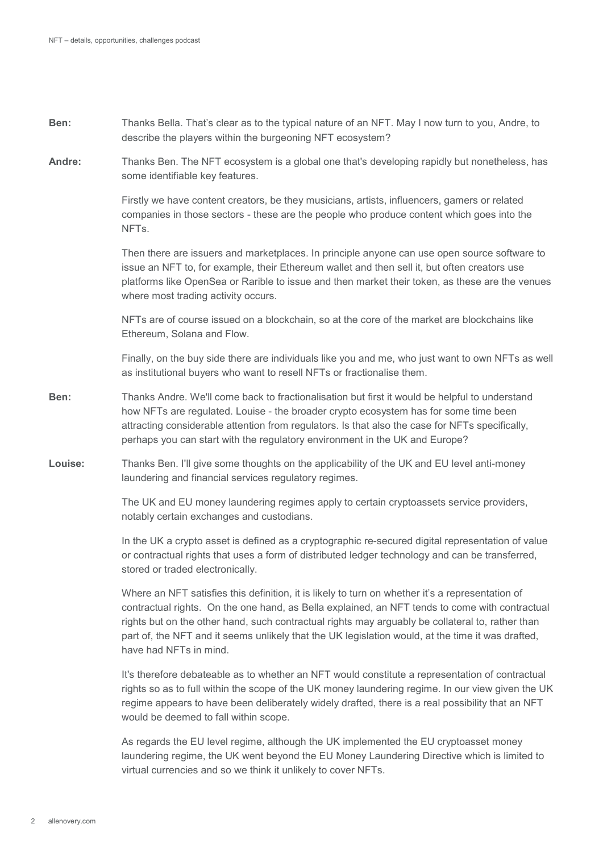- **Ben:** Thanks Bella. That's clear as to the typical nature of an NFT. May I now turn to you, Andre, to describe the players within the burgeoning NFT ecosystem?
- **Andre:** Thanks Ben. The NFT ecosystem is a global one that's developing rapidly but nonetheless, has some identifiable key features.

Firstly we have content creators, be they musicians, artists, influencers, gamers or related companies in those sectors - these are the people who produce content which goes into the NFTs.

Then there are issuers and marketplaces. In principle anyone can use open source software to issue an NFT to, for example, their Ethereum wallet and then sell it, but often creators use platforms like OpenSea or Rarible to issue and then market their token, as these are the venues where most trading activity occurs.

NFTs are of course issued on a blockchain, so at the core of the market are blockchains like Ethereum, Solana and Flow.

Finally, on the buy side there are individuals like you and me, who just want to own NFTs as well as institutional buyers who want to resell NFTs or fractionalise them.

- **Ben:** Thanks Andre. We'll come back to fractionalisation but first it would be helpful to understand how NFTs are regulated. Louise - the broader crypto ecosystem has for some time been attracting considerable attention from regulators. Is that also the case for NFTs specifically, perhaps you can start with the regulatory environment in the UK and Europe?
- **Louise:** Thanks Ben. I'll give some thoughts on the applicability of the UK and EU level anti-money laundering and financial services regulatory regimes.

The UK and EU money laundering regimes apply to certain cryptoassets service providers, notably certain exchanges and custodians.

In the UK a crypto asset is defined as a cryptographic re-secured digital representation of value or contractual rights that uses a form of distributed ledger technology and can be transferred, stored or traded electronically.

Where an NFT satisfies this definition, it is likely to turn on whether it's a representation of contractual rights. On the one hand, as Bella explained, an NFT tends to come with contractual rights but on the other hand, such contractual rights may arguably be collateral to, rather than part of, the NFT and it seems unlikely that the UK legislation would, at the time it was drafted, have had NFTs in mind.

It's therefore debateable as to whether an NFT would constitute a representation of contractual rights so as to full within the scope of the UK money laundering regime. In our view given the UK regime appears to have been deliberately widely drafted, there is a real possibility that an NFT would be deemed to fall within scope.

As regards the EU level regime, although the UK implemented the EU cryptoasset money laundering regime, the UK went beyond the EU Money Laundering Directive which is limited to virtual currencies and so we think it unlikely to cover NFTs.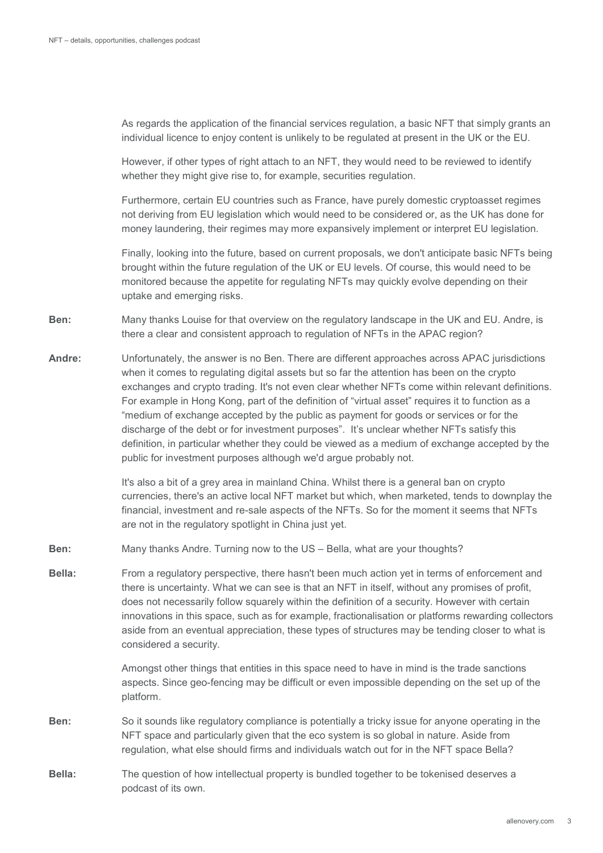As regards the application of the financial services regulation, a basic NFT that simply grants an individual licence to enjoy content is unlikely to be regulated at present in the UK or the EU.

However, if other types of right attach to an NFT, they would need to be reviewed to identify whether they might give rise to, for example, securities regulation.

Furthermore, certain EU countries such as France, have purely domestic cryptoasset regimes not deriving from EU legislation which would need to be considered or, as the UK has done for money laundering, their regimes may more expansively implement or interpret EU legislation.

Finally, looking into the future, based on current proposals, we don't anticipate basic NFTs being brought within the future regulation of the UK or EU levels. Of course, this would need to be monitored because the appetite for regulating NFTs may quickly evolve depending on their uptake and emerging risks.

- **Ben:** Many thanks Louise for that overview on the regulatory landscape in the UK and EU. Andre, is there a clear and consistent approach to regulation of NFTs in the APAC region?
- **Andre:** Unfortunately, the answer is no Ben. There are different approaches across APAC jurisdictions when it comes to regulating digital assets but so far the attention has been on the crypto exchanges and crypto trading. It's not even clear whether NFTs come within relevant definitions. For example in Hong Kong, part of the definition of "virtual asset" requires it to function as a "medium of exchange accepted by the public as payment for goods or services or for the discharge of the debt or for investment purposes". It's unclear whether NFTs satisfy this definition, in particular whether they could be viewed as a medium of exchange accepted by the public for investment purposes although we'd argue probably not.

It's also a bit of a grey area in mainland China. Whilst there is a general ban on crypto currencies, there's an active local NFT market but which, when marketed, tends to downplay the financial, investment and re-sale aspects of the NFTs. So for the moment it seems that NFTs are not in the regulatory spotlight in China just yet.

- **Ben:** Many thanks Andre. Turning now to the US Bella, what are your thoughts?
- **Bella:** From a regulatory perspective, there hasn't been much action yet in terms of enforcement and there is uncertainty. What we can see is that an NFT in itself, without any promises of profit, does not necessarily follow squarely within the definition of a security. However with certain innovations in this space, such as for example, fractionalisation or platforms rewarding collectors aside from an eventual appreciation, these types of structures may be tending closer to what is considered a security.

Amongst other things that entities in this space need to have in mind is the trade sanctions aspects. Since geo-fencing may be difficult or even impossible depending on the set up of the platform.

- **Ben:** So it sounds like regulatory compliance is potentially a tricky issue for anyone operating in the NFT space and particularly given that the eco system is so global in nature. Aside from regulation, what else should firms and individuals watch out for in the NFT space Bella?
- **Bella:** The question of how intellectual property is bundled together to be tokenised deserves a podcast of its own.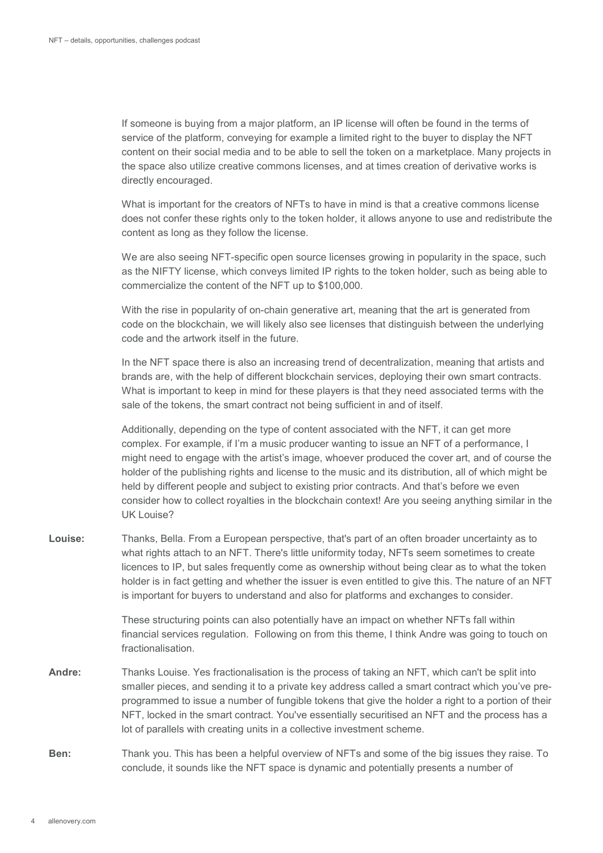If someone is buying from a major platform, an IP license will often be found in the terms of service of the platform, conveying for example a limited right to the buyer to display the NFT content on their social media and to be able to sell the token on a marketplace. Many projects in the space also utilize creative commons licenses, and at times creation of derivative works is directly encouraged.

What is important for the creators of NFTs to have in mind is that a creative commons license does not confer these rights only to the token holder, it allows anyone to use and redistribute the content as long as they follow the license.

We are also seeing NFT-specific open source licenses growing in popularity in the space, such as the NIFTY license, which conveys limited IP rights to the token holder, such as being able to commercialize the content of the NFT up to \$100,000.

With the rise in popularity of on-chain generative art, meaning that the art is generated from code on the blockchain, we will likely also see licenses that distinguish between the underlying code and the artwork itself in the future.

In the NFT space there is also an increasing trend of decentralization, meaning that artists and brands are, with the help of different blockchain services, deploying their own smart contracts. What is important to keep in mind for these players is that they need associated terms with the sale of the tokens, the smart contract not being sufficient in and of itself.

Additionally, depending on the type of content associated with the NFT, it can get more complex. For example, if I'm a music producer wanting to issue an NFT of a performance, I might need to engage with the artist's image, whoever produced the cover art, and of course the holder of the publishing rights and license to the music and its distribution, all of which might be held by different people and subject to existing prior contracts. And that's before we even consider how to collect royalties in the blockchain context! Are you seeing anything similar in the UK Louise?

**Louise:** Thanks, Bella. From a European perspective, that's part of an often broader uncertainty as to what rights attach to an NFT. There's little uniformity today, NFTs seem sometimes to create licences to IP, but sales frequently come as ownership without being clear as to what the token holder is in fact getting and whether the issuer is even entitled to give this. The nature of an NFT is important for buyers to understand and also for platforms and exchanges to consider.

> These structuring points can also potentially have an impact on whether NFTs fall within financial services regulation. Following on from this theme, I think Andre was going to touch on fractionalisation.

- **Andre:** Thanks Louise. Yes fractionalisation is the process of taking an NFT, which can't be split into smaller pieces, and sending it to a private key address called a smart contract which you've preprogrammed to issue a number of fungible tokens that give the holder a right to a portion of their NFT, locked in the smart contract. You've essentially securitised an NFT and the process has a lot of parallels with creating units in a collective investment scheme.
- **Ben:** Thank you. This has been a helpful overview of NFTs and some of the big issues they raise. To conclude, it sounds like the NFT space is dynamic and potentially presents a number of